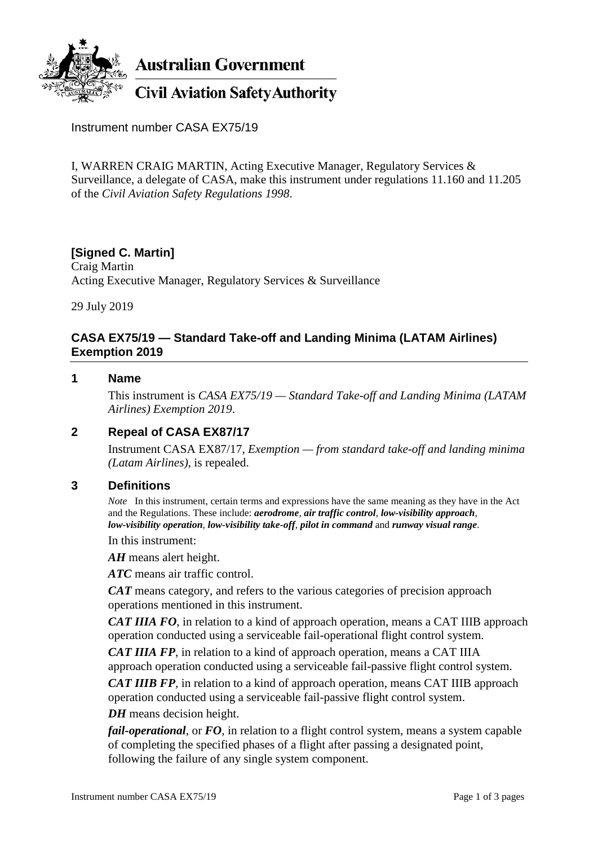

Instrument number CASA EX75/19

I, WARREN CRAIG MARTIN, Acting Executive Manager, Regulatory Services & Surveillance, a delegate of CASA, make this instrument under regulations 11.160 and 11.205 of the *Civil Aviation Safety Regulations 1998*.

# **[Signed C. Martin]**

Craig Martin Acting Executive Manager, Regulatory Services & Surveillance

29 July 2019

# **CASA EX75/19 — Standard Take-off and Landing Minima (LATAM Airlines) Exemption 2019**

## **1 Name**

This instrument is *CASA EX75/19 — Standard Take-off and Landing Minima (LATAM Airlines) Exemption 2019*.

# **2 Repeal of CASA EX87/17**

Instrument CASA EX87/17, *Exemption — from standard take-off and landing minima (Latam Airlines)*, is repealed.

### **3 Definitions**

*Note* In this instrument, certain terms and expressions have the same meaning as they have in the Act and the Regulations. These include: *aerodrome*, *air traffic control*, *low-visibility approach*, *low-visibility operation*, *low-visibility take-off*, *pilot in command* and *runway visual range*.

In this instrument:

*AH* means alert height.

*ATC* means air traffic control.

*CAT* means category, and refers to the various categories of precision approach operations mentioned in this instrument.

*CAT IIIA FO*, in relation to a kind of approach operation, means a CAT IIIB approach operation conducted using a serviceable fail-operational flight control system.

*CAT IIIA FP*, in relation to a kind of approach operation, means a CAT IIIA approach operation conducted using a serviceable fail-passive flight control system.

*CAT IIIB FP*, in relation to a kind of approach operation, means CAT IIIB approach operation conducted using a serviceable fail-passive flight control system.

*DH* means decision height.

*fail-operational*, or FO, in relation to a flight control system, means a system capable of completing the specified phases of a flight after passing a designated point, following the failure of any single system component.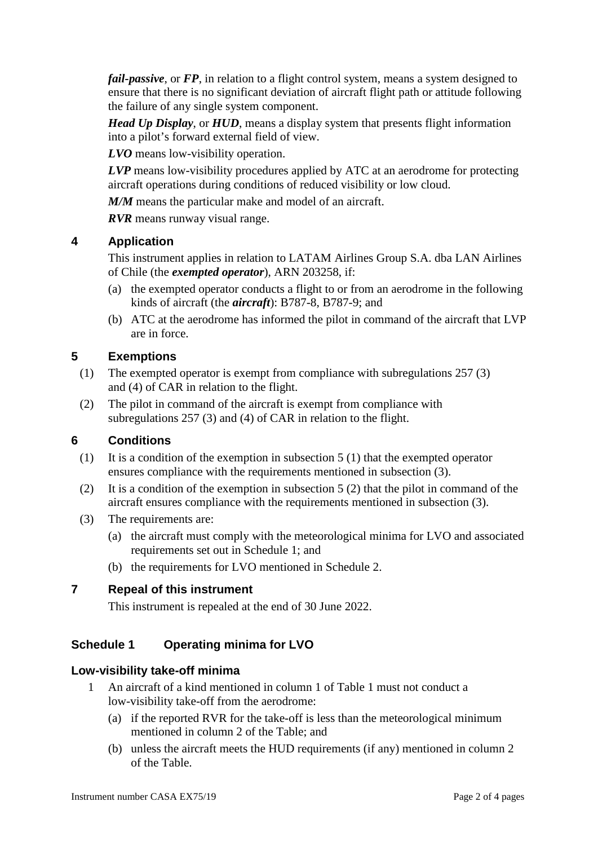*fail-passive*, or FP, in relation to a flight control system, means a system designed to ensure that there is no significant deviation of aircraft flight path or attitude following the failure of any single system component.

*Head Up Display*, or *HUD*, means a display system that presents flight information into a pilot's forward external field of view.

*LVO* means low-visibility operation.

*LVP* means low-visibility procedures applied by ATC at an aerodrome for protecting aircraft operations during conditions of reduced visibility or low cloud.

*M/M* means the particular make and model of an aircraft.

*RVR* means runway visual range.

# **4 Application**

This instrument applies in relation to LATAM Airlines Group S.A. dba LAN Airlines of Chile (the *exempted operator*), ARN 203258, if:

- (a) the exempted operator conducts a flight to or from an aerodrome in the following kinds of aircraft (the *aircraft*): B787-8, B787-9; and
- (b) ATC at the aerodrome has informed the pilot in command of the aircraft that LVP are in force.

# **5 Exemptions**

- (1) The exempted operator is exempt from compliance with subregulations 257 (3) and (4) of CAR in relation to the flight.
- (2) The pilot in command of the aircraft is exempt from compliance with subregulations 257 (3) and (4) of CAR in relation to the flight.

### **6 Conditions**

- (1) It is a condition of the exemption in subsection 5 (1) that the exempted operator ensures compliance with the requirements mentioned in subsection (3).
- (2) It is a condition of the exemption in subsection 5 (2) that the pilot in command of the aircraft ensures compliance with the requirements mentioned in subsection (3).
- (3) The requirements are:
	- (a) the aircraft must comply with the meteorological minima for LVO and associated requirements set out in Schedule 1; and
	- (b) the requirements for LVO mentioned in Schedule 2.

### **7 Repeal of this instrument**

This instrument is repealed at the end of 30 June 2022.

# **Schedule 1 Operating minima for LVO**

### **Low-visibility take-off minima**

- 1 An aircraft of a kind mentioned in column 1 of Table 1 must not conduct a low-visibility take-off from the aerodrome:
	- (a) if the reported RVR for the take-off is less than the meteorological minimum mentioned in column 2 of the Table; and
	- (b) unless the aircraft meets the HUD requirements (if any) mentioned in column 2 of the Table.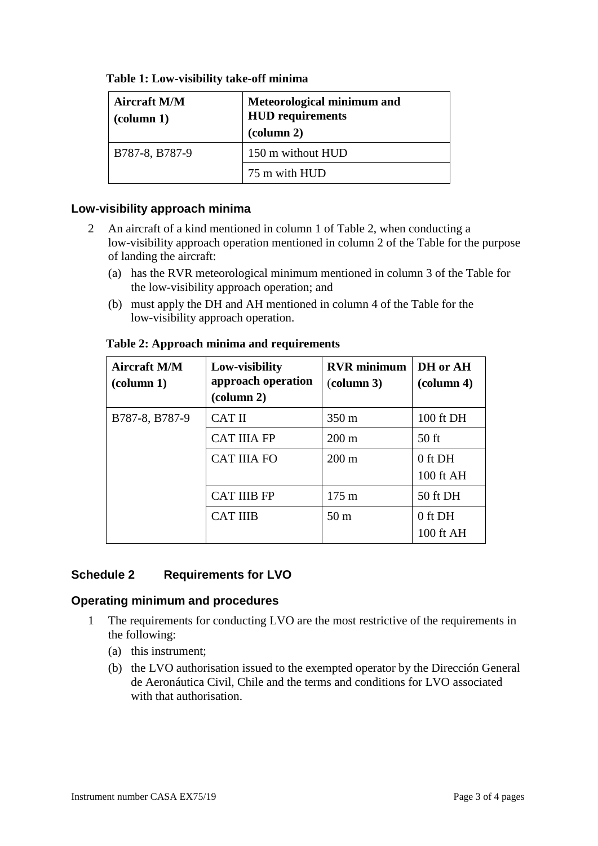| <b>Aircraft M/M</b><br>$\text{(column 1)}$ | Meteorological minimum and<br><b>HUD</b> requirements<br>$\left(\text{column } 2\right)$ |  |
|--------------------------------------------|------------------------------------------------------------------------------------------|--|
| B787-8, B787-9                             | 150 m without HUD                                                                        |  |
|                                            | 75 m with HUD                                                                            |  |

# **Table 1: Low-visibility take-off minima**

#### **Low-visibility approach minima**

- 2 An aircraft of a kind mentioned in column 1 of Table 2, when conducting a low-visibility approach operation mentioned in column 2 of the Table for the purpose of landing the aircraft:
	- (a) has the RVR meteorological minimum mentioned in column 3 of the Table for the low-visibility approach operation; and
	- (b) must apply the DH and AH mentioned in column 4 of the Table for the low-visibility approach operation.

| <b>Aircraft M/M</b><br>$\left(\text{column } 1\right)$ | Low-visibility<br>approach operation<br>$\left(\text{column } 2\right)$ | <b>RVR</b> minimum<br>$\left(\text{column }3\right)$ | DH or AH<br>$\alpha$ (column 4) |
|--------------------------------------------------------|-------------------------------------------------------------------------|------------------------------------------------------|---------------------------------|
| B787-8, B787-9                                         | <b>CAT II</b>                                                           | $350 \text{ m}$                                      | 100 ft DH                       |
|                                                        | <b>CAT IIIA FP</b>                                                      | $200 \text{ m}$                                      | $50$ ft                         |
|                                                        | <b>CAT IIIA FO</b>                                                      | $200 \text{ m}$                                      | 0 ft DH<br>100 ft AH            |
|                                                        | <b>CAT IIIB FP</b>                                                      | $175 \text{ m}$                                      | 50 ft DH                        |
|                                                        | <b>CAT IIIB</b>                                                         | 50 <sub>m</sub>                                      | 0 ft DH<br>100 ft AH            |

#### **Table 2: Approach minima and requirements**

### **Schedule 2 Requirements for LVO**

### **Operating minimum and procedures**

- 1 The requirements for conducting LVO are the most restrictive of the requirements in the following:
	- (a) this instrument;
	- (b) the LVO authorisation issued to the exempted operator by the Dirección General de Aeronáutica Civil, Chile and the terms and conditions for LVO associated with that authorisation.